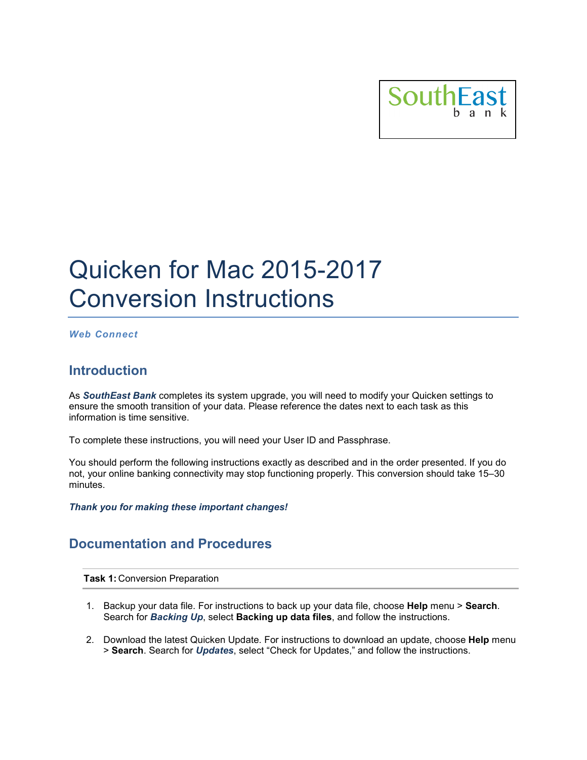

# Quicken for Mac 2015-2017 Conversion Instructions

*Web Connect*

## **Introduction**

As *SouthEast Bank* completes its system upgrade, you will need to modify your Quicken settings to ensure the smooth transition of your data. Please reference the dates next to each task as this information is time sensitive.

To complete these instructions, you will need your User ID and Passphrase.

You should perform the following instructions exactly as described and in the order presented. If you do not, your online banking connectivity may stop functioning properly. This conversion should take 15–30 minutes.

*Thank you for making these important changes!*

## **Documentation and Procedures**

**Task 1:** Conversion Preparation

- 1. Backup your data file. For instructions to back up your data file, choose **Help** menu > **Search**. Search for *Backing Up*, select **Backing up data files**, and follow the instructions.
- 2. Download the latest Quicken Update. For instructions to download an update, choose **Help** menu > **Search**. Search for *Updates*, select "Check for Updates," and follow the instructions.